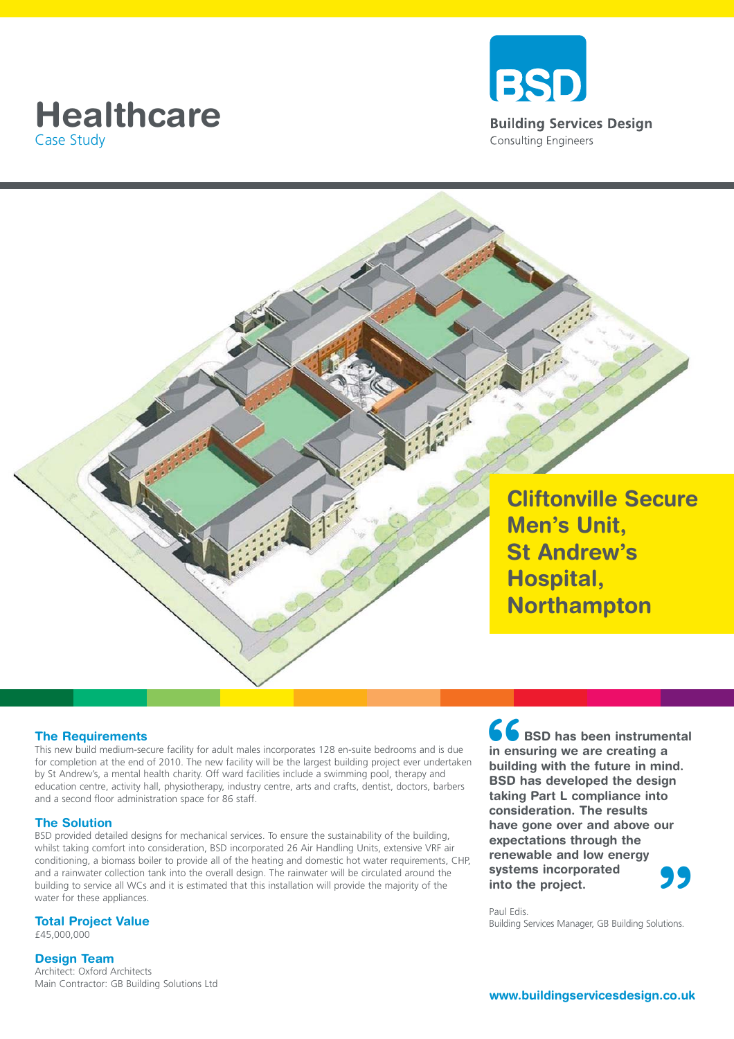# Case Study





## **The Requirements**

This new build medium-secure facility for adult males incorporates 128 en-suite bedrooms and is due for completion at the end of 2010. The new facility will be the largest building project ever undertaken by St Andrew's, a mental health charity. Off ward facilities include a swimming pool, therapy and education centre, activity hall, physiotherapy, industry centre, arts and crafts, dentist, doctors, barbers and a second floor administration space for 86 staff.

### **The Solution**

BSD provided detailed designs for mechanical services. To ensure the sustainability of the building, whilst taking comfort into consideration, BSD incorporated 26 Air Handling Units, extensive VRF air conditioning, a biomass boiler to provide all of the heating and domestic hot water requirements, CHP, and a rainwater collection tank into the overall design. The rainwater will be circulated around the building to service all WCs and it is estimated that this installation will provide the majority of the water for these appliances.

## **Total Project Value**

£45,000,000

## **Design Team**

Architect: Oxford Architects Main Contractor: GB Building Solutions Ltd **66**<br>
in ens<br>
buildin<br>
BSD **h Systems incorporated into the project.**<br>
Paul Edis.<br>
Building Services Manager, GB Building Solutions. **BSD has been instrumental in ensuring we are creating a building with the future in mind. BSD has developed the design taking Part L compliance into consideration. The results have gone over and above our expectations through the renewable and low energy systems incorporated into the project.**

Paul Edis.